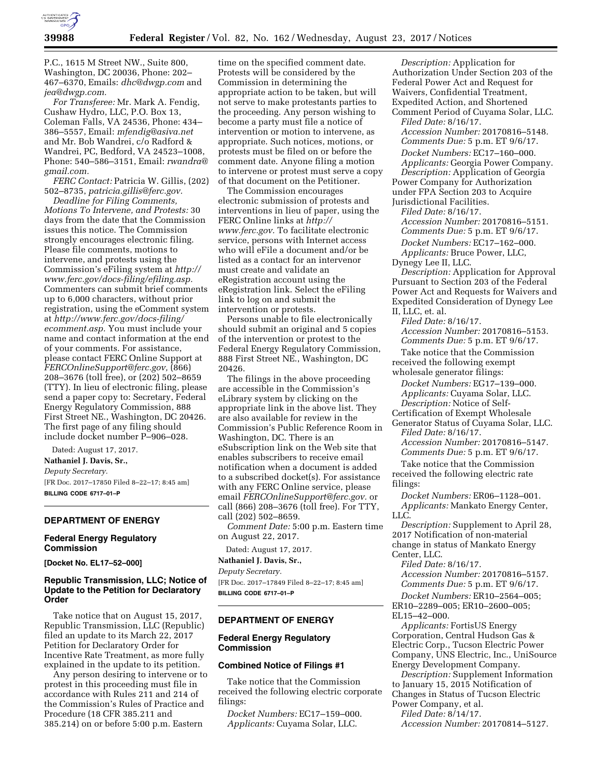

P.C., 1615 M Street NW., Suite 800, Washington, DC 20036, Phone: 202– 467–6370, Emails: *[dhc@dwgp.com](mailto:dhc@dwgp.com)* and *[jea@dwgp.com.](mailto:jea@dwgp.com)* 

*For Transferee:* Mr. Mark A. Fendig, Cushaw Hydro, LLC, P.O. Box 13, Coleman Falls, VA 24536, Phone: 434– 386–5557, Email: *[mfendig@asiva.net](mailto:mfendig@asiva.net)*  and Mr. Bob Wandrei, c/o Radford & Wandrei, PC, Bedford, VA 24523–1008, Phone: 540–586–3151, Email: *[rwandra@](mailto:rwandra@gmail.com) [gmail.com.](mailto:rwandra@gmail.com)* 

*FERC Contact:* Patricia W. Gillis, (202) 502–8735, *[patricia.gillis@ferc.gov.](mailto:patricia.gillis@ferc.gov)* 

*Deadline for Filing Comments, Motions To Intervene, and Protests:* 30 days from the date that the Commission issues this notice. The Commission strongly encourages electronic filing. Please file comments, motions to intervene, and protests using the Commission's eFiling system at *[http://](http://www.ferc.gov/docs-filing/efiling.asp) [www.ferc.gov/docs-filing/efiling.asp.](http://www.ferc.gov/docs-filing/efiling.asp)*  Commenters can submit brief comments up to 6,000 characters, without prior registration, using the eComment system at *[http://www.ferc.gov/docs-filing/](http://www.ferc.gov/docs-filing/ecomment.asp) [ecomment.asp.](http://www.ferc.gov/docs-filing/ecomment.asp)* You must include your name and contact information at the end of your comments. For assistance, please contact FERC Online Support at *[FERCOnlineSupport@ferc.gov,](mailto:FERCOnlineSupport@ferc.gov)* (866) 208–3676 (toll free), or (202) 502–8659 (TTY). In lieu of electronic filing, please send a paper copy to: Secretary, Federal Energy Regulatory Commission, 888 First Street NE., Washington, DC 20426. The first page of any filing should include docket number P–906–028.

Dated: August 17, 2017.

**Nathaniel J. Davis, Sr.,**  *Deputy Secretary.*  [FR Doc. 2017–17850 Filed 8–22–17; 8:45 am] **BILLING CODE 6717–01–P** 

# **DEPARTMENT OF ENERGY**

## **Federal Energy Regulatory Commission**

**[Docket No. EL17–52–000]** 

# **Republic Transmission, LLC; Notice of Update to the Petition for Declaratory Order**

Take notice that on August 15, 2017, Republic Transmission, LLC (Republic) filed an update to its March 22, 2017 Petition for Declaratory Order for Incentive Rate Treatment, as more fully explained in the update to its petition.

Any person desiring to intervene or to protest in this proceeding must file in accordance with Rules 211 and 214 of the Commission's Rules of Practice and Procedure (18 CFR 385.211 and 385.214) on or before 5:00 p.m. Eastern

time on the specified comment date. Protests will be considered by the Commission in determining the appropriate action to be taken, but will not serve to make protestants parties to the proceeding. Any person wishing to become a party must file a notice of intervention or motion to intervene, as appropriate. Such notices, motions, or protests must be filed on or before the comment date. Anyone filing a motion to intervene or protest must serve a copy of that document on the Petitioner.

The Commission encourages electronic submission of protests and interventions in lieu of paper, using the FERC Online links at *[http://](http://www.ferc.gov) [www.ferc.gov.](http://www.ferc.gov)* To facilitate electronic service, persons with Internet access who will eFile a document and/or be listed as a contact for an intervenor must create and validate an eRegistration account using the eRegistration link. Select the eFiling link to log on and submit the intervention or protests.

Persons unable to file electronically should submit an original and 5 copies of the intervention or protest to the Federal Energy Regulatory Commission, 888 First Street NE., Washington, DC 20426.

The filings in the above proceeding are accessible in the Commission's eLibrary system by clicking on the appropriate link in the above list. They are also available for review in the Commission's Public Reference Room in Washington, DC. There is an eSubscription link on the Web site that enables subscribers to receive email notification when a document is added to a subscribed docket(s). For assistance with any FERC Online service, please email *[FERCOnlineSupport@ferc.gov.](mailto:FERCOnlineSupport@ferc.gov)* or call (866) 208–3676 (toll free). For TTY, call (202) 502–8659.

*Comment Date:* 5:00 p.m. Eastern time on August 22, 2017.

# Dated: August 17, 2017.

**Nathaniel J. Davis, Sr.,**  *Deputy Secretary.* 

[FR Doc. 2017–17849 Filed 8–22–17; 8:45 am] **BILLING CODE 6717–01–P** 

#### **DEPARTMENT OF ENERGY**

## **Federal Energy Regulatory Commission**

#### **Combined Notice of Filings #1**

Take notice that the Commission received the following electric corporate filings:

*Docket Numbers:* EC17–159–000. *Applicants:* Cuyama Solar, LLC.

*Description:* Application for Authorization Under Section 203 of the Federal Power Act and Request for Waivers, Confidential Treatment, Expedited Action, and Shortened Comment Period of Cuyama Solar, LLC. *Filed Date:* 8/16/17. *Accession Number:* 20170816–5148. *Comments Due:* 5 p.m. ET 9/6/17. *Docket Numbers:* EC17–160–000. *Applicants:* Georgia Power Company. *Description:* Application of Georgia Power Company for Authorization under FPA Section 203 to Acquire Jurisdictional Facilities. *Filed Date:* 8/16/17. *Accession Number:* 20170816–5151. *Comments Due:* 5 p.m. ET 9/6/17. *Docket Numbers:* EC17–162–000. *Applicants:* Bruce Power, LLC, Dynegy Lee II, LLC. *Description:* Application for Approval Pursuant to Section 203 of the Federal Power Act and Requests for Waivers and Expedited Consideration of Dynegy Lee II, LLC, et. al. *Filed Date:* 8/16/17. *Accession Number:* 20170816–5153. *Comments Due:* 5 p.m. ET 9/6/17. Take notice that the Commission received the following exempt wholesale generator filings: *Docket Numbers:* EG17–139–000. *Applicants:* Cuyama Solar, LLC. *Description:* Notice of Self-Certification of Exempt Wholesale Generator Status of Cuyama Solar, LLC. *Filed Date:* 8/16/17. *Accession Number:* 20170816–5147. *Comments Due:* 5 p.m. ET 9/6/17. Take notice that the Commission received the following electric rate filings: *Docket Numbers:* ER06–1128–001. *Applicants:* Mankato Energy Center, LLC. *Description:* Supplement to April 28, 2017 Notification of non-material change in status of Mankato Energy Center, LLC.

*Filed Date:* 8/16/17.

*Accession Number:* 20170816–5157. *Comments Due:* 5 p.m. ET 9/6/17.

*Docket Numbers:* ER10–2564–005; ER10–2289–005; ER10–2600–005; EL15–42–000.

*Applicants:* FortisUS Energy Corporation, Central Hudson Gas & Electric Corp., Tucson Electric Power Company, UNS Electric, Inc., UniSource Energy Development Company.

*Description:* Supplement Information to January 15, 2015 Notification of Changes in Status of Tucson Electric Power Company, et al.

*Filed Date:* 8/14/17.

*Accession Number:* 20170814–5127.